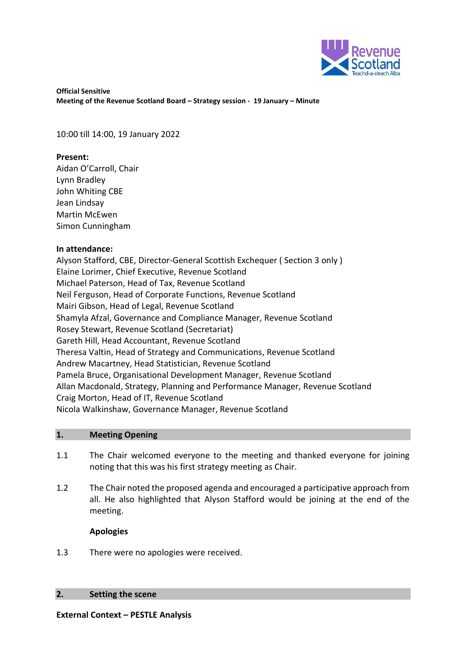

**Official Sensitive Meeting of the Revenue Scotland Board – Strategy session - 19 January – Minute** 

10:00 till 14:00, 19 January 2022

### **Present:**

Aidan O'Carroll, Chair Lynn Bradley John Whiting CBE Jean Lindsay Martin McEwen Simon Cunningham

# **In attendance:**

Alyson Stafford, CBE, Director-General Scottish Exchequer ( Section 3 only ) Elaine Lorimer, Chief Executive, Revenue Scotland Michael Paterson, Head of Tax, Revenue Scotland Neil Ferguson, Head of Corporate Functions, Revenue Scotland Mairi Gibson, Head of Legal, Revenue Scotland Shamyla Afzal, Governance and Compliance Manager, Revenue Scotland Rosey Stewart, Revenue Scotland (Secretariat) Gareth Hill, Head Accountant, Revenue Scotland Theresa Valtin, Head of Strategy and Communications, Revenue Scotland Andrew Macartney, Head Statistician, Revenue Scotland Pamela Bruce, Organisational Development Manager, Revenue Scotland Allan Macdonald, Strategy, Planning and Performance Manager, Revenue Scotland Craig Morton, Head of IT, Revenue Scotland Nicola Walkinshaw, Governance Manager, Revenue Scotland

# **1. Meeting Opening**

- 1.1 The Chair welcomed everyone to the meeting and thanked everyone for joining noting that this was his first strategy meeting as Chair.
- 1.2 The Chair noted the proposed agenda and encouraged a participative approach from all. He also highlighted that Alyson Stafford would be joining at the end of the meeting.

# **Apologies**

1.3 There were no apologies were received.

### **2. Setting the scene**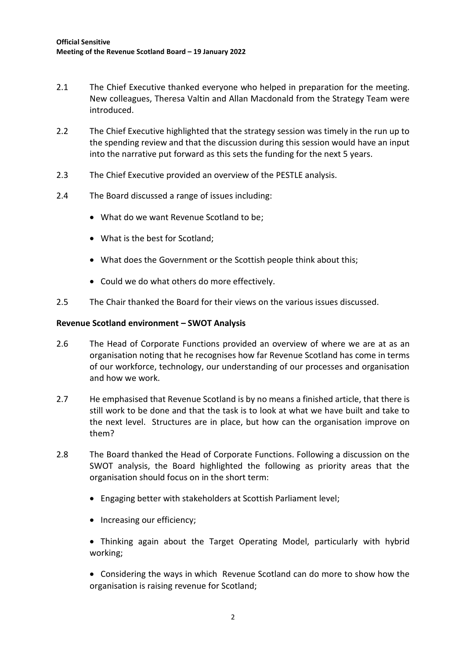- 2.1 The Chief Executive thanked everyone who helped in preparation for the meeting. New colleagues, Theresa Valtin and Allan Macdonald from the Strategy Team were introduced.
- 2.2 The Chief Executive highlighted that the strategy session was timely in the run up to the spending review and that the discussion during this session would have an input into the narrative put forward as this sets the funding for the next 5 years.
- 2.3 The Chief Executive provided an overview of the PESTLE analysis.
- 2.4 The Board discussed a range of issues including:
	- What do we want Revenue Scotland to be;
	- What is the best for Scotland;
	- What does the Government or the Scottish people think about this;
	- Could we do what others do more effectively.
- 2.5 The Chair thanked the Board for their views on the various issues discussed.

### **Revenue Scotland environment – SWOT Analysis**

- 2.6 The Head of Corporate Functions provided an overview of where we are at as an organisation noting that he recognises how far Revenue Scotland has come in terms of our workforce, technology, our understanding of our processes and organisation and how we work.
- 2.7 He emphasised that Revenue Scotland is by no means a finished article, that there is still work to be done and that the task is to look at what we have built and take to the next level. Structures are in place, but how can the organisation improve on them?
- 2.8 The Board thanked the Head of Corporate Functions. Following a discussion on the SWOT analysis, the Board highlighted the following as priority areas that the organisation should focus on in the short term:
	- Engaging better with stakeholders at Scottish Parliament level;
	- Increasing our efficiency:

 Thinking again about the Target Operating Model, particularly with hybrid working;

 Considering the ways in which Revenue Scotland can do more to show how the organisation is raising revenue for Scotland;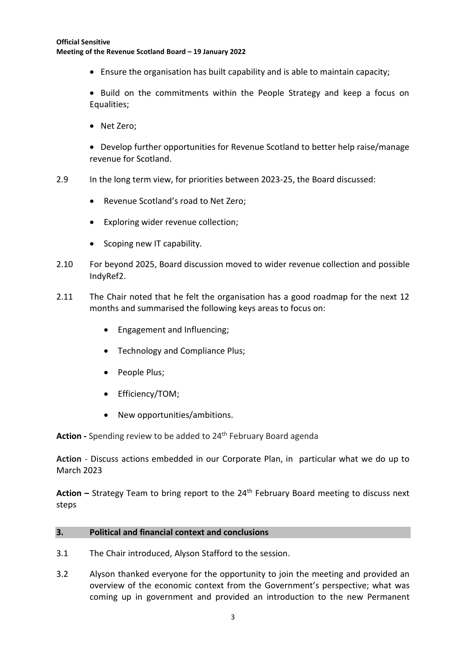#### **Official Sensitive Meeting of the Revenue Scotland Board – 19 January 2022**

Ensure the organisation has built capability and is able to maintain capacity;

• Build on the commitments within the People Strategy and keep a focus on Equalities;

• Net Zero;

 Develop further opportunities for Revenue Scotland to better help raise/manage revenue for Scotland.

- 2.9 In the long term view, for priorities between 2023-25, the Board discussed:
	- Revenue Scotland's road to Net Zero;
	- Exploring wider revenue collection;
	- Scoping new IT capability.
- 2.10 For beyond 2025, Board discussion moved to wider revenue collection and possible IndyRef2.
- 2.11 The Chair noted that he felt the organisation has a good roadmap for the next 12 months and summarised the following keys areas to focus on:
	- Engagement and Influencing;
	- Technology and Compliance Plus;
	- People Plus;
	- Efficiency/TOM;
	- New opportunities/ambitions.

Action - Spending review to be added to 24<sup>th</sup> February Board agenda

**Action** - Discuss actions embedded in our Corporate Plan, in particular what we do up to March 2023

Action – Strategy Team to bring report to the 24<sup>th</sup> February Board meeting to discuss next steps

# **3. Political and financial context and conclusions**

- 3.1 The Chair introduced, Alyson Stafford to the session.
- 3.2 Alyson thanked everyone for the opportunity to join the meeting and provided an overview of the economic context from the Government's perspective; what was coming up in government and provided an introduction to the new Permanent